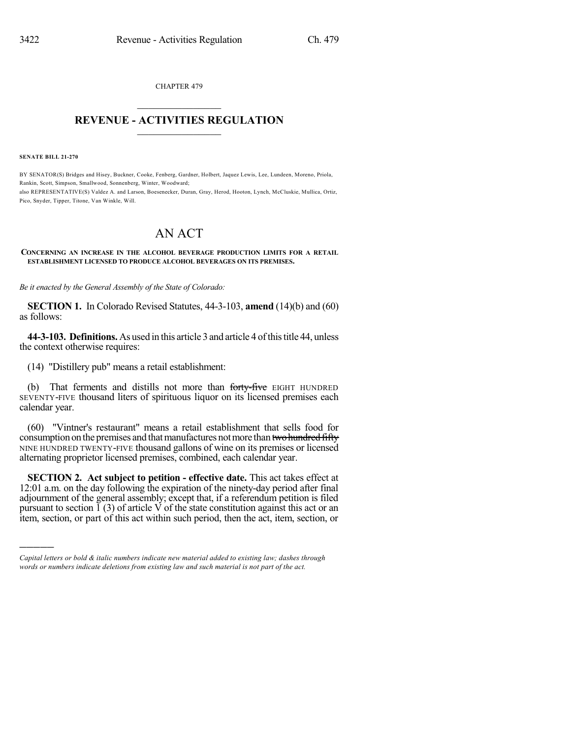CHAPTER 479  $\mathcal{L}_\text{max}$  . The set of the set of the set of the set of the set of the set of the set of the set of the set of the set of the set of the set of the set of the set of the set of the set of the set of the set of the set

## **REVENUE - ACTIVITIES REGULATION**  $\_$   $\_$   $\_$   $\_$   $\_$   $\_$   $\_$   $\_$

**SENATE BILL 21-270**

)))))

BY SENATOR(S) Bridges and Hisey, Buckner, Cooke, Fenberg, Gardner, Holbert, Jaquez Lewis, Lee, Lundeen, Moreno, Priola, Rankin, Scott, Simpson, Smallwood, Sonnenberg, Winter, Woodward; also REPRESENTATIVE(S) Valdez A. and Larson, Boesenecker, Duran, Gray, Herod, Hooton, Lynch, McCluskie, Mullica, Ortiz, Pico, Snyder, Tipper, Titone, Van Winkle, Will.

## AN ACT

## **CONCERNING AN INCREASE IN THE ALCOHOL BEVERAGE PRODUCTION LIMITS FOR A RETAIL ESTABLISHMENT LICENSED TO PRODUCE ALCOHOL BEVERAGES ON ITS PREMISES.**

*Be it enacted by the General Assembly of the State of Colorado:*

**SECTION 1.** In Colorado Revised Statutes, 44-3-103, **amend** (14)(b) and (60) as follows:

**44-3-103. Definitions.** As used in this article 3 and article 4 of this title 44, unless the context otherwise requires:

(14) "Distillery pub" means a retail establishment:

(b) That ferments and distills not more than forty-five EIGHT HUNDRED SEVENTY-FIVE thousand liters of spirituous liquor on its licensed premises each calendar year.

(60) "Vintner's restaurant" means a retail establishment that sells food for consumption on the premises and that manufactures not more than two hundred fifty NINE HUNDRED TWENTY-FIVE thousand gallons of wine on its premises or licensed alternating proprietor licensed premises, combined, each calendar year.

**SECTION 2. Act subject to petition - effective date.** This act takes effect at 12:01 a.m. on the day following the expiration of the ninety-day period after final adjournment of the general assembly; except that, if a referendum petition is filed pursuant to section  $\tilde{1}$  (3) of article V of the state constitution against this act or an item, section, or part of this act within such period, then the act, item, section, or

*Capital letters or bold & italic numbers indicate new material added to existing law; dashes through words or numbers indicate deletions from existing law and such material is not part of the act.*